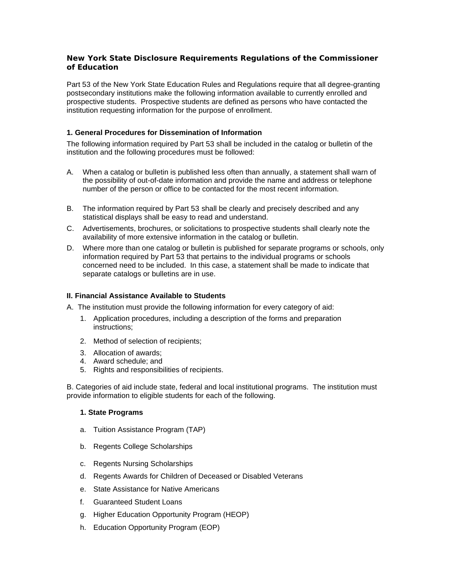## **New York State Disclosure Requirements Regulations of the Commissioner of Education**

Part 53 of the New York State Education Rules and Regulations require that all degree-granting postsecondary institutions make the following information available to currently enrolled and prospective students. Prospective students are defined as persons who have contacted the institution requesting information for the purpose of enrollment.

# **1. General Procedures for Dissemination of Information**

The following information required by Part 53 shall be included in the catalog or bulletin of the institution and the following procedures must be followed:

- A. When a catalog or bulletin is published less often than annually, a statement shall warn of the possibility of out-of-date information and provide the name and address or telephone number of the person or office to be contacted for the most recent information.
- B. The information required by Part 53 shall be clearly and precisely described and any statistical displays shall be easy to read and understand.
- C. Advertisements, brochures, or solicitations to prospective students shall clearly note the availability of more extensive information in the catalog or bulletin.
- D. Where more than one catalog or bulletin is published for separate programs or schools, only information required by Part 53 that pertains to the individual programs or schools concerned need to be included. In this case, a statement shall be made to indicate that separate catalogs or bulletins are in use.

## **II. Financial Assistance Available to Students**

A. The institution must provide the following information for every category of aid:

- 1. Application procedures, including a description of the forms and preparation instructions;
- 2. Method of selection of recipients;
- 3. Allocation of awards;
- 4. Award schedule; and
- 5. Rights and responsibilities of recipients.

B. Categories of aid include state, federal and local institutional programs. The institution must provide information to eligible students for each of the following.

## **1. State Programs**

- a. Tuition Assistance Program (TAP)
- b. Regents College Scholarships
- c. Regents Nursing Scholarships
- d. Regents Awards for Children of Deceased or Disabled Veterans
- e. State Assistance for Native Americans
- f. Guaranteed Student Loans
- g. Higher Education Opportunity Program (HEOP)
- h. Education Opportunity Program (EOP)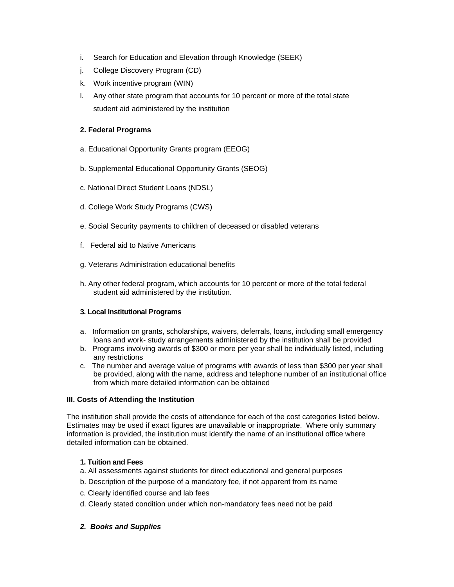- i. Search for Education and Elevation through Knowledge (SEEK)
- j. College Discovery Program (CD)
- k. Work incentive program (WIN)
- l. Any other state program that accounts for 10 percent or more of the total state student aid administered by the institution

# **2. Federal Programs**

- a. Educational Opportunity Grants program (EEOG)
- b. Supplemental Educational Opportunity Grants (SEOG)
- c. National Direct Student Loans (NDSL)
- d. College Work Study Programs (CWS)
- e. Social Security payments to children of deceased or disabled veterans
- f. Federal aid to Native Americans
- g. Veterans Administration educational benefits
- h. Any other federal program, which accounts for 10 percent or more of the total federal student aid administered by the institution.

## **3. Local Institutional Programs**

- a. Information on grants, scholarships, waivers, deferrals, loans, including small emergency loans and work- study arrangements administered by the institution shall be provided
- b. Programs involving awards of \$300 or more per year shall be individually listed, including any restrictions
- c. The number and average value of programs with awards of less than \$300 per year shall be provided, along with the name, address and telephone number of an institutional office from which more detailed information can be obtained

## **III. Costs of Attending the Institution**

The institution shall provide the costs of attendance for each of the cost categories listed below. Estimates may be used if exact figures are unavailable or inappropriate. Where only summary information is provided, the institution must identify the name of an institutional office where detailed information can be obtained.

## **1. Tuition and Fees**

- a. All assessments against students for direct educational and general purposes
- b. Description of the purpose of a mandatory fee, if not apparent from its name
- c. Clearly identified course and lab fees
- d. Clearly stated condition under which non-mandatory fees need not be paid

## *2. Books and Supplies*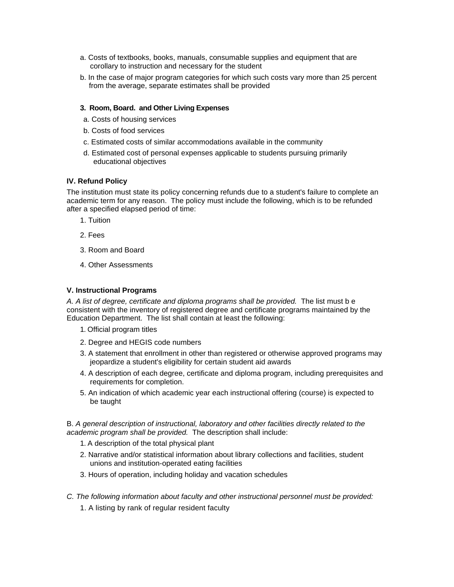- a. Costs of textbooks, books, manuals, consumable supplies and equipment that are corollary to instruction and necessary for the student
- b. In the case of major program categories for which such costs vary more than 25 percent from the average, separate estimates shall be provided

#### **3. Room, Board. and Other Living Expenses**

- a. Costs of housing services
- b. Costs of food services
- c. Estimated costs of similar accommodations available in the community
- d. Estimated cost of personal expenses applicable to students pursuing primarily educational objectives

## **IV. Refund Policy**

The institution must state its policy concerning refunds due to a student's failure to complete an academic term for any reason. The policy must include the following, which is to be refunded after a specified elapsed period of time:

- 1. Tuition
- 2. Fees
- 3. Room and Board
- 4. Other Assessments

#### **V. Instructional Programs**

*A. A list of degree, certificate and diploma programs shall be provided.* The list must b e consistent with the inventory of registered degree and certificate programs maintained by the Education Department. The list shall contain at least the following:

- 1. Official program titles
- 2. Degree and HEGIS code numbers
- 3. A statement that enrollment in other than registered or otherwise approved programs may jeopardize a student's eligibility for certain student aid awards
- 4. A description of each degree, certificate and diploma program, including prerequisites and requirements for completion.
- 5. An indication of which academic year each instructional offering (course) is expected to be taught

B. *A general description of instructional, laboratory and other facilities directly related to the academic program shall be provided.* The description shall include:

- 1. A description of the total physical plant
- 2. Narrative and/or statistical information about library collections and facilities, student unions and institution-operated eating facilities
- 3. Hours of operation, including holiday and vacation schedules
- *C. The following information about faculty and other instructional personnel must be provided:*
	- 1. A listing by rank of regular resident faculty